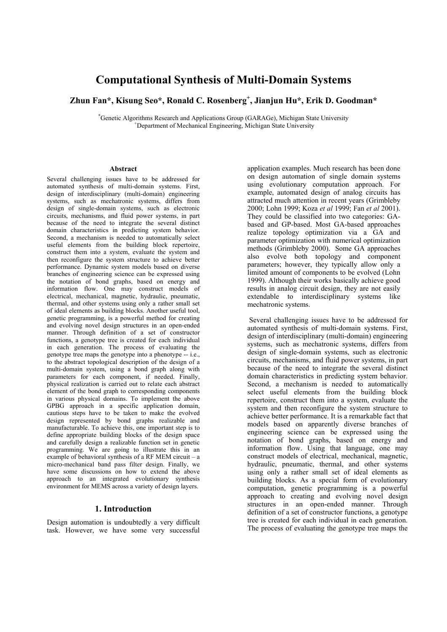# **Computational Synthesis of Multi-Domain Systems**

# **Zhun Fan\*, Kisung Seo\*, Ronald C. Rosenberg<sup>+</sup> , Jianjun Hu\*, Erik D. Goodman\***

\*
Genetic Algorithms Research and Applications Group (GARAGe), Michigan State University<br>
<sup>+</sup>
Theoretiment of Mechanical Engineering Michigan State University Department of Mechanical Engineering, Michigan State University

#### **Abstract**

Several challenging issues have to be addressed for automated synthesis of multi-domain systems. First, design of interdisciplinary (multi-domain) engineering systems, such as mechatronic systems, differs from design of single-domain systems, such as electronic circuits, mechanisms, and fluid power systems, in part because of the need to integrate the several distinct domain characteristics in predicting system behavior. Second, a mechanism is needed to automatically select useful elements from the building block repertoire, construct them into a system, evaluate the system and then reconfigure the system structure to achieve better performance. Dynamic system models based on diverse branches of engineering science can be expressed using the notation of bond graphs, based on energy and information flow. One may construct models of electrical, mechanical, magnetic, hydraulic, pneumatic, thermal, and other systems using only a rather small set of ideal elements as building blocks. Another useful tool, genetic programming, is a powerful method for creating and evolving novel design structures in an open-ended manner. Through definition of a set of constructor functions, a genotype tree is created for each individual in each generation. The process of evaluating the genotype tree maps the genotype into a phenotype -- i.e., to the abstract topological description of the design of a multi-domain system, using a bond graph along with parameters for each component, if needed. Finally, physical realization is carried out to relate each abstract element of the bond graph to corresponding components in various physical domains. To implement the above GPBG approach in a specific application domain, cautious steps have to be taken to make the evolved design represented by bond graphs realizable and manufacturable. To achieve this, one important step is to define appropriate building blocks of the design space and carefully design a realizable function set in genetic programming. We are going to illustrate this in an example of behavioral synthesis of a RF MEM circuit – a micro-mechanical band pass filter design. Finally, we have some discussions on how to extend the above approach to an integrated evolutionary synthesis environment for MEMS across a variety of design layers.

#### **1. Introduction**

Design automation is undoubtedly a very difficult task. However, we have some very successful application examples. Much research has been done on design automation of single domain systems using evolutionary computation approach. For example, automated design of analog circuits has attracted much attention in recent years (Grimbleby 2000; Lohn 1999; Koza *et al* 1999; Fan *et al* 2001). They could be classified into two categories: GAbased and GP-based. Most GA-based approaches realize topology optimization via a GA and parameter optimization with numerical optimization methods (Grimbleby 2000). Some GA approaches also evolve both topology and component parameters; however, they typically allow only a limited amount of components to be evolved (Lohn 1999). Although their works basically achieve good results in analog circuit design, they are not easily extendable to interdisciplinary systems like mechatronic systems.

 Several challenging issues have to be addressed for automated synthesis of multi-domain systems. First, design of interdisciplinary (multi-domain) engineering systems, such as mechatronic systems, differs from design of single-domain systems, such as electronic circuits, mechanisms, and fluid power systems, in part because of the need to integrate the several distinct domain characteristics in predicting system behavior. Second, a mechanism is needed to automatically select useful elements from the building block repertoire, construct them into a system, evaluate the system and then reconfigure the system structure to achieve better performance. It is a remarkable fact that models based on apparently diverse branches of engineering science can be expressed using the notation of bond graphs, based on energy and information flow. Using that language, one may construct models of electrical, mechanical, magnetic, hydraulic, pneumatic, thermal, and other systems using only a rather small set of ideal elements as building blocks. As a special form of evolutionary computation, genetic programming is a powerful approach to creating and evolving novel design structures in an open-ended manner. Through definition of a set of constructor functions, a genotype tree is created for each individual in each generation. The process of evaluating the genotype tree maps the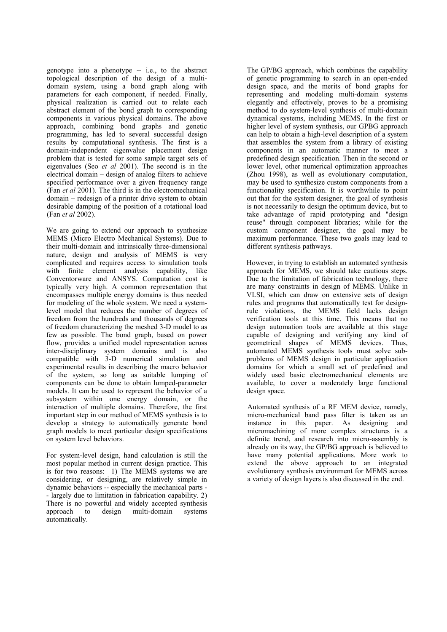genotype into a phenotype -- i.e., to the abstract topological description of the design of a multidomain system, using a bond graph along with parameters for each component, if needed. Finally, physical realization is carried out to relate each abstract element of the bond graph to corresponding components in various physical domains. The above approach, combining bond graphs and genetic programming, has led to several successful design results by computational synthesis. The first is a domain-independent eigenvalue placement design problem that is tested for some sample target sets of eigenvalues (Seo *et al* 2001). The second is in the electrical domain – design of analog filters to achieve specified performance over a given frequency range (Fan *et al* 2001). The third is in the electromechanical domain – redesign of a printer drive system to obtain desirable damping of the position of a rotational load (Fan *et al* 2002).

We are going to extend our approach to synthesize MEMS (Micro Electro Mechanical Systems). Due to their multi-domain and intrinsically three-dimensional nature, design and analysis of MEMS is very complicated and requires access to simulation tools with finite element analysis capability, like Conventorware and ANSYS. Computation cost is typically very high. A common representation that encompasses multiple energy domains is thus needed for modeling of the whole system. We need a systemlevel model that reduces the number of degrees of freedom from the hundreds and thousands of degrees of freedom characterizing the meshed 3-D model to as few as possible. The bond graph, based on power flow, provides a unified model representation across inter-disciplinary system domains and is also compatible with 3-D numerical simulation and experimental results in describing the macro behavior of the system, so long as suitable lumping of components can be done to obtain lumped-parameter models. It can be used to represent the behavior of a subsystem within one energy domain, or the interaction of multiple domains. Therefore, the first important step in our method of MEMS synthesis is to develop a strategy to automatically generate bond graph models to meet particular design specifications on system level behaviors.

For system-level design, hand calculation is still the most popular method in current design practice. This is for two reasons: 1) The MEMS systems we are considering, or designing, are relatively simple in dynamic behaviors -- especially the mechanical parts - - largely due to limitation in fabrication capability. 2) There is no powerful and widely accepted synthesis approach to design multi-domain systems automatically.

The GP/BG approach, which combines the capability of genetic programming to search in an open-ended design space, and the merits of bond graphs for representing and modeling multi-domain systems elegantly and effectively, proves to be a promising method to do system-level synthesis of multi-domain dynamical systems, including MEMS. In the first or higher level of system synthesis, our GPBG approach can help to obtain a high-level description of a system that assembles the system from a library of existing components in an automatic manner to meet a predefined design specification. Then in the second or lower level, other numerical optimization approaches (Zhou 1998), as well as evolutionary computation, may be used to synthesize custom components from a functionality specification. It is worthwhile to point out that for the system designer, the goal of synthesis is not necessarily to design the optimum device, but to take advantage of rapid prototyping and "design reuse" through component libraries; while for the custom component designer, the goal may be maximum performance. These two goals may lead to different synthesis pathways.

However, in trying to establish an automated synthesis approach for MEMS, we should take cautious steps. Due to the limitation of fabrication technology, there are many constraints in design of MEMS. Unlike in VLSI, which can draw on extensive sets of design rules and programs that automatically test for designrule violations, the MEMS field lacks design verification tools at this time. This means that no design automation tools are available at this stage capable of designing and verifying any kind of geometrical shapes of MEMS devices. Thus, automated MEMS synthesis tools must solve subproblems of MEMS design in particular application domains for which a small set of predefined and widely used basic electromechanical elements are available, to cover a moderately large functional design space.

Automated synthesis of a RF MEM device, namely, micro-mechanical band pass filter is taken as an instance in this paper. As designing and micromachining of more complex structures is a definite trend, and research into micro-assembly is already on its way, the GP/BG approach is believed to have many potential applications. More work to extend the above approach to an integrated evolutionary synthesis environment for MEMS across a variety of design layers is also discussed in the end.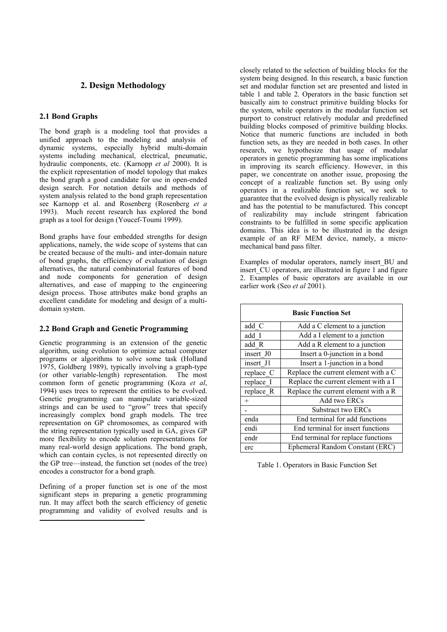# **2. Design Methodology**

#### **2.1 Bond Graphs**

The bond graph is a modeling tool that provides a unified approach to the modeling and analysis of dynamic systems, especially hybrid multi-domain systems including mechanical, electrical, pneumatic, hydraulic components, etc. (Karnopp *et al* 2000). It is the explicit representation of model topology that makes the bond graph a good candidate for use in open-ended design search. For notation details and methods of system analysis related to the bond graph representation see Karnopp et al. and Rosenberg (Rosenberg *et a* 1993). Much recent research has explored the bond graph as a tool for design (Youcef-Toumi 1999).

Bond graphs have four embedded strengths for design applications, namely, the wide scope of systems that can be created because of the multi- and inter-domain nature of bond graphs, the efficiency of evaluation of design alternatives, the natural combinatorial features of bond and node components for generation of design alternatives, and ease of mapping to the engineering design process. Those attributes make bond graphs an excellent candidate for modeling and design of a multidomain system.

#### **2.2 Bond Graph and Genetic Programming**

Genetic programming is an extension of the genetic algorithm, using evolution to optimize actual computer programs or algorithms to solve some task (Holland 1975, Goldberg 1989), typically involving a graph-type (or other variable-length) representation. The most common form of genetic programming (Koza *et al*, 1994) uses trees to represent the entities to be evolved. Genetic programming can manipulate variable-sized strings and can be used to "grow" trees that specify increasingly complex bond graph models. The tree representation on GP chromosomes, as compared with the string representation typically used in GA, gives GP more flexibility to encode solution representations for many real-world design applications. The bond graph, which can contain cycles, is not represented directly on the GP tree—instead, the function set (nodes of the tree) encodes a constructor for a bond graph.

Defining of a proper function set is one of the most significant steps in preparing a genetic programming run. It may affect both the search efficiency of genetic programming and validity of evolved results and is

closely related to the selection of building blocks for the system being designed. In this research, a basic function set and modular function set are presented and listed in table 1 and table 2. Operators in the basic function set basically aim to construct primitive building blocks for the system, while operators in the modular function set purport to construct relatively modular and predefined building blocks composed of primitive building blocks. Notice that numeric functions are included in both function sets, as they are needed in both cases. In other research, we hypothesize that usage of modular operators in genetic programming has some implications in improving its search efficiency. However, in this paper, we concentrate on another issue, proposing the concept of a realizable function set. By using only operators in a realizable function set, we seek to guarantee that the evolved design is physically realizable and has the potential to be manufactured. This concept of realizability may include stringent fabrication constraints to be fulfilled in some specific application domains. This idea is to be illustrated in the design example of an RF MEM device, namely, a micromechanical band pass filter.

Examples of modular operators, namely insert\_BU and insert CU operators, are illustrated in figure 1 and figure 2. Examples of basic operators are available in our earlier work (Seo *et al* 2001).

| <b>Basic Function Set</b> |                                      |  |  |  |  |
|---------------------------|--------------------------------------|--|--|--|--|
| add C                     | Add a C element to a junction        |  |  |  |  |
| add I                     | Add a I element to a junction        |  |  |  |  |
| add R                     | Add a R element to a junction        |  |  |  |  |
| insert J0                 | Insert a 0-junction in a bond        |  |  |  |  |
| insert J1                 | Insert a 1-junction in a bond        |  |  |  |  |
| replace C                 | Replace the current element with a C |  |  |  |  |
| replace I                 | Replace the current element with a I |  |  |  |  |
| replace R                 | Replace the current element with a R |  |  |  |  |
| $^{+}$                    | Add two ERCs                         |  |  |  |  |
|                           | Substract two ERCs                   |  |  |  |  |
| enda                      | End terminal for add functions       |  |  |  |  |
| endi                      | End terminal for insert functions    |  |  |  |  |
| endr                      | End terminal for replace functions   |  |  |  |  |
| erc                       | Ephemeral Random Constant (ERC)      |  |  |  |  |

Table 1. Operators in Basic Function Set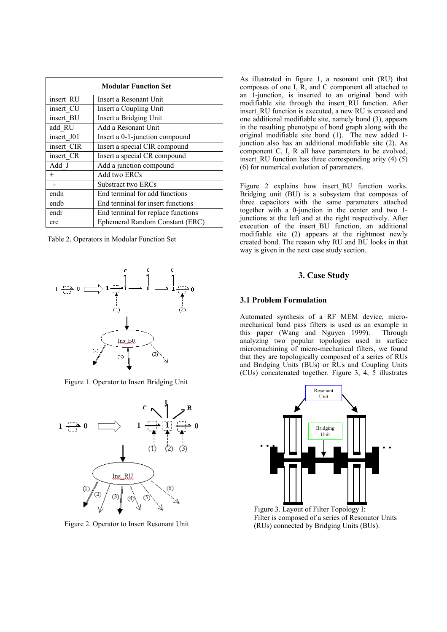| <b>Modular Function Set</b> |                                    |  |  |  |  |
|-----------------------------|------------------------------------|--|--|--|--|
| insert RU                   | Insert a Resonant Unit             |  |  |  |  |
| insert CU                   | Insert a Coupling Unit             |  |  |  |  |
| insert BU                   | Insert a Bridging Unit             |  |  |  |  |
| add RU                      | Add a Resonant Unit                |  |  |  |  |
| insert J01                  | Insert a 0-1-junction compound     |  |  |  |  |
| insert CIR                  | Insert a special CIR compound      |  |  |  |  |
| insert CR                   | Insert a special CR compound       |  |  |  |  |
| Add J                       | Add a junction compound            |  |  |  |  |
| $^{+}$                      | Add two ERCs                       |  |  |  |  |
|                             | Substract two ERCs                 |  |  |  |  |
| endn                        | End terminal for add functions     |  |  |  |  |
| endb                        | End terminal for insert functions  |  |  |  |  |
| endr                        | End terminal for replace functions |  |  |  |  |
| erc                         | Ephemeral Random Constant (ERC)    |  |  |  |  |

Table 2. Operators in Modular Function Set



Figure 1. Operator to Insert Bridging Unit



Figure 2. Operator to Insert Resonant Unit

As illustrated in figure 1, a resonant unit (RU) that composes of one I, R, and C component all attached to an 1-junction, is inserted to an original bond with modifiable site through the insert\_RU function. After insert RU function is executed, a new RU is created and one additional modifiable site, namely bond (3), appears in the resulting phenotype of bond graph along with the original modifiable site bond (1). The new added 1 junction also has an additional modifiable site (2). As component C, I, R all have parameters to be evolved, insert RU function has three corresponding arity  $(4)$   $(5)$ (6) for numerical evolution of parameters.

Figure 2 explains how insert BU function works. Bridging unit (BU) is a subsystem that composes of three capacitors with the same parameters attached together with a 0-junction in the center and two 1 junctions at the left and at the right respectively. After execution of the insert BU function, an additional modifiable site  $(2)$  appears at the rightmost newly created bond. The reason why RU and BU looks in that way is given in the next case study section.

#### **3. Case Study**

#### **3.1 Problem Formulation**

Automated synthesis of a RF MEM device, micromechanical band pass filters is used as an example in this paper (Wang and Nguyen 1999). Through analyzing two popular topologies used in surface micromachining of micro-mechanical filters, we found that they are topologically composed of a series of RUs and Bridging Units (BUs) or RUs and Coupling Units (CUs) concatenated together. Figure 3, 4, 5 illustrates



Figure 3. Layout of Filter Topology I: Filter is composed of a series of Resonator Units (RUs) connected by Bridging Units (BUs).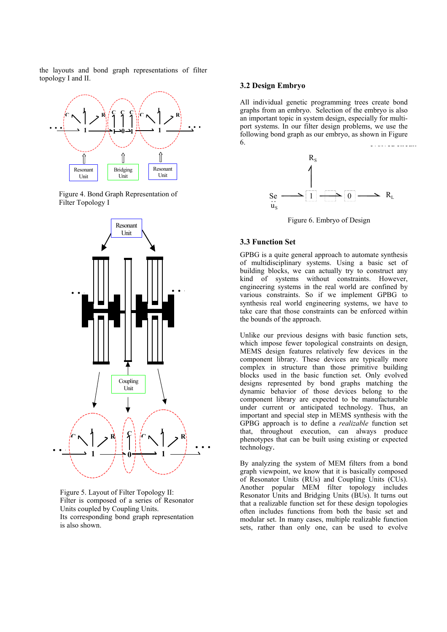the layouts and bond graph representations of filter topology I and II.



Figure 4. Bond Graph Representation of Filter Topology I



Figure 5. Layout of Filter Topology II: Filter is composed of a series of Resonator Units coupled by Coupling Units. Its corresponding bond graph representation is also shown.

#### **3.2 Design Embryo**

All individual genetic programming trees create bond graphs from an embryo. Selection of the embryo is also an important topic in system design, especially for multiport systems. In our filter design problems, we use the following bond graph as our embryo, as shown in Figure 6. evolved circuit



Figure 6. Embryo of Design

## **3.3 Function Set**

GPBG is a quite general approach to automate synthesis of multidisciplinary systems. Using a basic set of building blocks, we can actually try to construct any kind of systems without constraints. However, engineering systems in the real world are confined by various constraints. So if we implement GPBG to synthesis real world engineering systems, we have to take care that those constraints can be enforced within the bounds of the approach.

Unlike our previous designs with basic function sets, which impose fewer topological constraints on design, MEMS design features relatively few devices in the component library. These devices are typically more complex in structure than those primitive building blocks used in the basic function set. Only evolved designs represented by bond graphs matching the dynamic behavior of those devices belong to the component library are expected to be manufacturable under current or anticipated technology. Thus, an important and special step in MEMS synthesis with the GPBG approach is to define a *realizable* function set that, throughout execution, can always produce phenotypes that can be built using existing or expected technology.

By analyzing the system of MEM filters from a bond graph viewpoint, we know that it is basically composed of Resonator Units (RUs) and Coupling Units (CUs). Another popular MEM filter topology includes Resonator Units and Bridging Units (BUs). It turns out that a realizable function set for these design topologies often includes functions from both the basic set and modular set. In many cases, multiple realizable function sets, rather than only one, can be used to evolve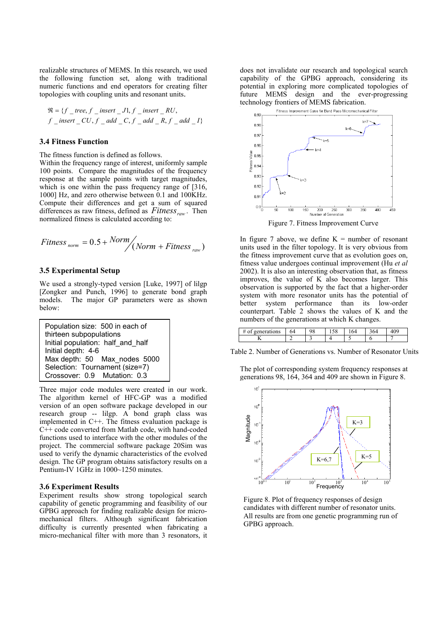realizable structures of MEMS. In this research, we used the following function set, along with traditional numeric functions and end operators for creating filter topologies with coupling units and resonant units.

$$
\mathfrak{R} = \{f \_\text{tree}, f \_\text{insert} \_\text{J}, f \_\text{insert} \_\text{RU},
$$
\n
$$
f \_\text{insert} \_\text{CU}, f \_\text{add} \_\text{C}, f \_\text{add} \_\text{R}, f \_\text{add} \_\text{I}
$$

#### **3.4 Fitness Function**

The fitness function is defined as follows.

Within the frequency range of interest, uniformly sample 100 points. Compare the magnitudes of the frequency response at the sample points with target magnitudes, which is one within the pass frequency range of [316, 1000] Hz, and zero otherwise between 0.1 and 100KHz. Compute their differences and get a sum of squared differences as raw fitness, defined as  $Fitness_{raw}$ . Then normalized fitness is calculated according to:

$$
Fitness_{norm} = 0.5 + Norm / (Norm + Fitness_{raw})
$$

#### **3.5 Experimental Setup**

We used a strongly-typed version [Luke, 1997] of lilgp [Zongker and Punch, 1996] to generate bond graph models. The major GP parameters were as shown below:



Three major code modules were created in our work. The algorithm kernel of HFC-GP was a modified version of an open software package developed in our research group -- lilgp. A bond graph class was implemented in C++. The fitness evaluation package is C++ code converted from Matlab code, with hand-coded functions used to interface with the other modules of the project. The commercial software package 20Sim was used to verify the dynamic characteristics of the evolved design. The GP program obtains satisfactory results on a Pentium-IV 1GHz in 1000~1250 minutes.

#### **3.6 Experiment Results**

Experiment results show strong topological search capability of genetic programming and feasibility of our GPBG approach for finding realizable design for micromechanical filters. Although significant fabrication difficulty is currently presented when fabricating a micro-mechanical filter with more than 3 resonators, it does not invalidate our research and topological search capability of the GPBG approach, considering its potential in exploring more complicated topologies of future MEMS design and the ever-progressing technology frontiers of MEMS fabrication.



In figure 7 above, we define  $K =$  number of resonant units used in the filter topology. It is very obvious from the fitness improvement curve that as evolution goes on, fitness value undergoes continual improvement (Hu *et al* 2002). It is also an interesting observation that, as fitness improves, the value of K also becomes larger. This observation is supported by the fact that a higher-order system with more resonator units has the potential of better system performance than its low-order counterpart. Table 2 shows the values of K and the numbers of the generations at which K changes.

| tions<br>◡ | 64 | $\sim$<br>◡ |  |  |
|------------|----|-------------|--|--|
| r.         |    |             |  |  |

Table 2. Number of Generations vs. Number of Resonator Units

The plot of corresponding system frequency responses at generations 98, 164, 364 and 409 are shown in Figure 8.



Figure 8. Plot of frequency responses of design candidates with different number of resonator units. All results are from one genetic programming run of GPBG approach.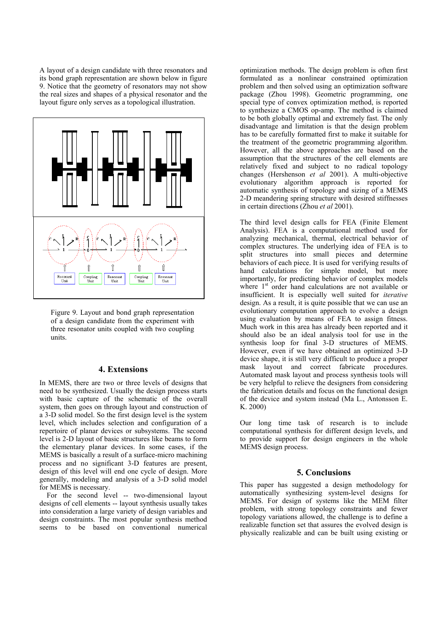A layout of a design candidate with three resonators and its bond graph representation are shown below in figure 9. Notice that the geometry of resonators may not show the real sizes and shapes of a physical resonator and the layout figure only serves as a topological illustration.



Figure 9. Layout and bond graph representation of a design candidate from the experiment with three resonator units coupled with two coupling units.

#### **4. Extensions**

In MEMS, there are two or three levels of designs that need to be synthesized. Usually the design process starts with basic capture of the schematic of the overall system, then goes on through layout and construction of a 3-D solid model. So the first design level is the system level, which includes selection and configuration of a repertoire of planar devices or subsystems. The second level is 2-D layout of basic structures like beams to form the elementary planar devices. In some cases, if the MEMS is basically a result of a surface-micro machining process and no significant 3-D features are present, design of this level will end one cycle of design. More generally, modeling and analysis of a 3-D solid model for MEMS is necessary.

For the second level -- two-dimensional layout designs of cell elements -- layout synthesis usually takes into consideration a large variety of design variables and design constraints. The most popular synthesis method seems to be based on conventional numerical

optimization methods. The design problem is often first formulated as a nonlinear constrained optimization problem and then solved using an optimization software package (Zhou 1998). Geometric programming, one special type of convex optimization method, is reported to synthesize a CMOS op-amp. The method is claimed to be both globally optimal and extremely fast. The only disadvantage and limitation is that the design problem has to be carefully formatted first to make it suitable for the treatment of the geometric programming algorithm. However, all the above approaches are based on the assumption that the structures of the cell elements are relatively fixed and subject to no radical topology changes (Hershenson *et al* 2001). A multi-objective evolutionary algorithm approach is reported for automatic synthesis of topology and sizing of a MEMS 2-D meandering spring structure with desired stiffnesses in certain directions (Zhou *et al* 2001).

The third level design calls for FEA (Finite Element Analysis). FEA is a computational method used for analyzing mechanical, thermal, electrical behavior of complex structures. The underlying idea of FEA is to split structures into small pieces and determine behaviors of each piece. It is used for verifying results of hand calculations for simple model, but more importantly, for predicting behavior of complex models where 1<sup>st</sup> order hand calculations are not available or insufficient. It is especially well suited for *iterative* design. As a result, it is quite possible that we can use an evolutionary computation approach to evolve a design using evaluation by means of FEA to assign fitness. Much work in this area has already been reported and it should also be an ideal analysis tool for use in the synthesis loop for final 3-D structures of MEMS. However, even if we have obtained an optimized 3-D device shape, it is still very difficult to produce a proper mask layout and correct fabricate procedures. Automated mask layout and process synthesis tools will be very helpful to relieve the designers from considering the fabrication details and focus on the functional design of the device and system instead (Ma L., Antonsson E. K. 2000)

Our long time task of research is to include computational synthesis for different design levels, and to provide support for design engineers in the whole MEMS design process.

#### **5. Conclusions**

This paper has suggested a design methodology for automatically synthesizing system-level designs for MEMS. For design of systems like the MEM filter problem, with strong topology constraints and fewer topology variations allowed, the challenge is to define a realizable function set that assures the evolved design is physically realizable and can be built using existing or